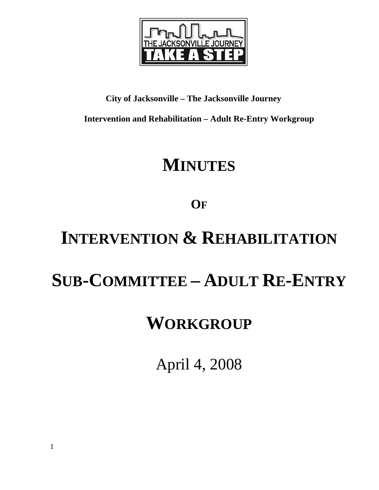

#### **City of Jacksonville – The Jacksonville Journey**

**Intervention and Rehabilitation – Adult Re-Entry Workgroup** 

## **MINUTES**

### **OF**

# **INTERVENTION & REHABILITATION**

## **SUB-COMMITTEE – ADULT RE-ENTRY**

## **WORKGROUP**

April 4, 2008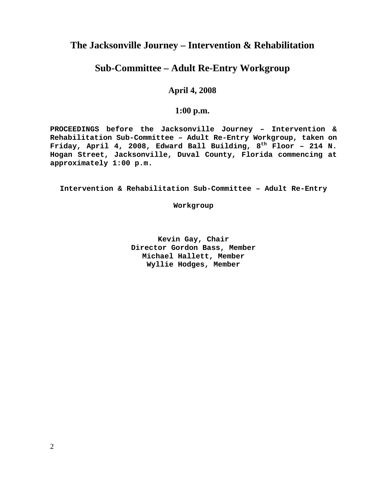#### **The Jacksonville Journey – Intervention & Rehabilitation**

#### **Sub-Committee – Adult Re-Entry Workgroup**

#### **April 4, 2008**

#### **1:00 p.m.**

**PROCEEDINGS before the Jacksonville Journey – Intervention & Rehabilitation Sub-Committee – Adult Re-Entry Workgroup, taken on Friday, April 4, 2008, Edward Ball Building, 8th Floor – 214 N. Hogan Street, Jacksonville, Duval County, Florida commencing at approximately 1:00 p.m.** 

**Intervention & Rehabilitation Sub-Committee – Adult Re-Entry** 

**Workgroup** 

**Kevin Gay, Chair Director Gordon Bass, Member Michael Hallett, Member Wyllie Hodges, Member**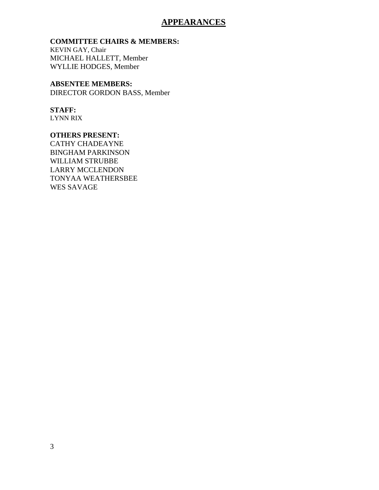#### **APPEARANCES**

#### **COMMITTEE CHAIRS & MEMBERS:**

KEVIN GAY, Chair MICHAEL HALLETT, Member WYLLIE HODGES, Member

#### **ABSENTEE MEMBERS:**

DIRECTOR GORDON BASS, Member

#### **STAFF:**

LYNN RIX

#### **OTHERS PRESENT:**

CATHY CHADEAYNE BINGHAM PARKINSON WILLIAM STRUBBE LARRY MCCLENDON TONYAA WEATHERSBEE WES SAVAGE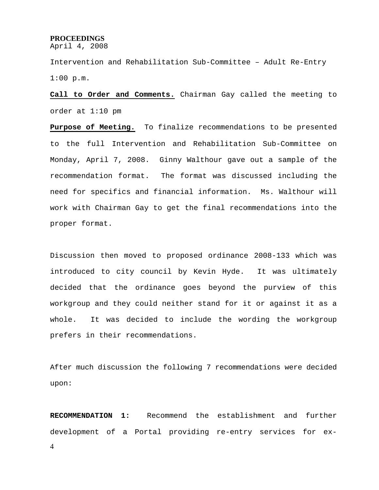#### **PROCEEDINGS**

April 4, 2008

Intervention and Rehabilitation Sub-Committee – Adult Re-Entry 1:00 p.m.

**Call to Order and Comments.** Chairman Gay called the meeting to order at 1:10 pm

**Purpose of Meeting.** To finalize recommendations to be presented to the full Intervention and Rehabilitation Sub-Committee on Monday, April 7, 2008. Ginny Walthour gave out a sample of the recommendation format. The format was discussed including the need for specifics and financial information. Ms. Walthour will work with Chairman Gay to get the final recommendations into the proper format.

Discussion then moved to proposed ordinance 2008-133 which was introduced to city council by Kevin Hyde. It was ultimately decided that the ordinance goes beyond the purview of this workgroup and they could neither stand for it or against it as a whole. It was decided to include the wording the workgroup prefers in their recommendations.

After much discussion the following 7 recommendations were decided upon:

4 **RECOMMENDATION 1:** Recommend the establishment and further development of a Portal providing re-entry services for ex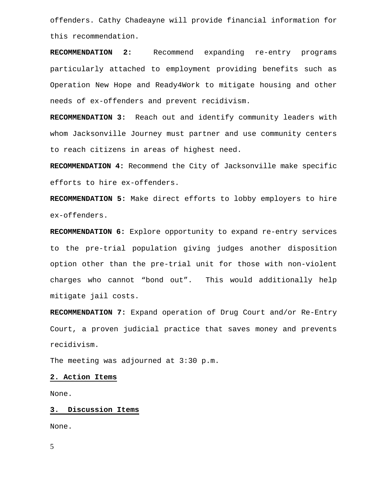offenders. Cathy Chadeayne will provide financial information for this recommendation.

**RECOMMENDATION 2:** Recommend expanding re-entry programs particularly attached to employment providing benefits such as Operation New Hope and Ready4Work to mitigate housing and other needs of ex-offenders and prevent recidivism.

**RECOMMENDATION 3:** Reach out and identify community leaders with whom Jacksonville Journey must partner and use community centers to reach citizens in areas of highest need.

**RECOMMENDATION 4:** Recommend the City of Jacksonville make specific efforts to hire ex-offenders.

**RECOMMENDATION 5:** Make direct efforts to lobby employers to hire ex-offenders.

**RECOMMENDATION 6:** Explore opportunity to expand re-entry services to the pre-trial population giving judges another disposition option other than the pre-trial unit for those with non-violent charges who cannot "bond out". This would additionally help mitigate jail costs.

**RECOMMENDATION 7:** Expand operation of Drug Court and/or Re-Entry Court, a proven judicial practice that saves money and prevents recidivism.

The meeting was adjourned at 3:30 p.m.

#### **2. Action Items**

None.

#### **3. Discussion Items**

None.

5